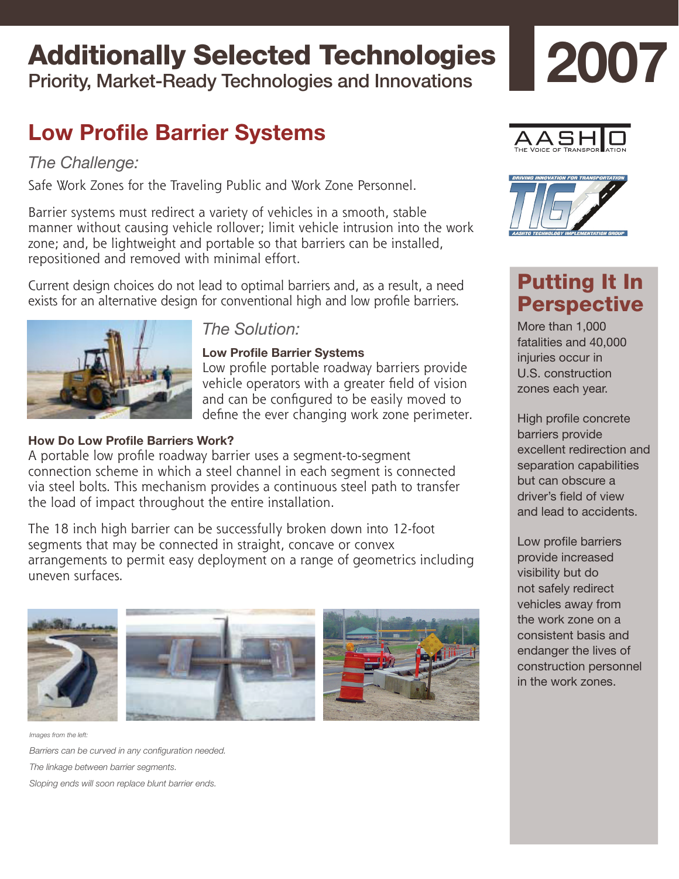# Additionally Selected Technologies

Priority, Market-Ready Technologies and Innovations

# **Low Profile Barrier Systems**

### *The Challenge:*

Safe Work Zones for the Traveling Public and Work Zone Personnel.

Barrier systems must redirect a variety of vehicles in a smooth, stable manner without causing vehicle rollover; limit vehicle intrusion into the work zone; and, be lightweight and portable so that barriers can be installed, repositioned and removed with minimal effort.

Current design choices do not lead to optimal barriers and, as a result, a need exists for an alternative design for conventional high and low profile barriers.



### *The Solution:*

### **Low Profile Barrier Systems**

Low profile portable roadway barriers provide vehicle operators with a greater field of vision and can be configured to be easily moved to define the ever changing work zone perimeter.

### **How Do Low Profile Barriers Work?**

A portable low profile roadway barrier uses a segment-to-segment connection scheme in which a steel channel in each segment is connected via steel bolts. This mechanism provides a continuous steel path to transfer the load of impact throughout the entire installation.

The 18 inch high barrier can be successfully broken down into 12-foot segments that may be connected in straight, concave or convex arrangements to permit easy deployment on a range of geometrics including uneven surfaces.



*Images from the left:*

*Barriers can be curved in any configuration needed. The linkage between barrier segments. Sloping ends will soon replace blunt barrier ends.*



**2007**



# Putting It In **Perspective**

More than 1,000 fatalities and 40,000 injuries occur in U.S. construction zones each year.

High profile concrete barriers provide excellent redirection and separation capabilities but can obscure a driver's field of view and lead to accidents.

Low profile barriers provide increased visibility but do not safely redirect vehicles away from the work zone on a consistent basis and endanger the lives of construction personnel in the work zones.